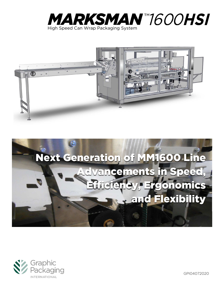







GPI04072020